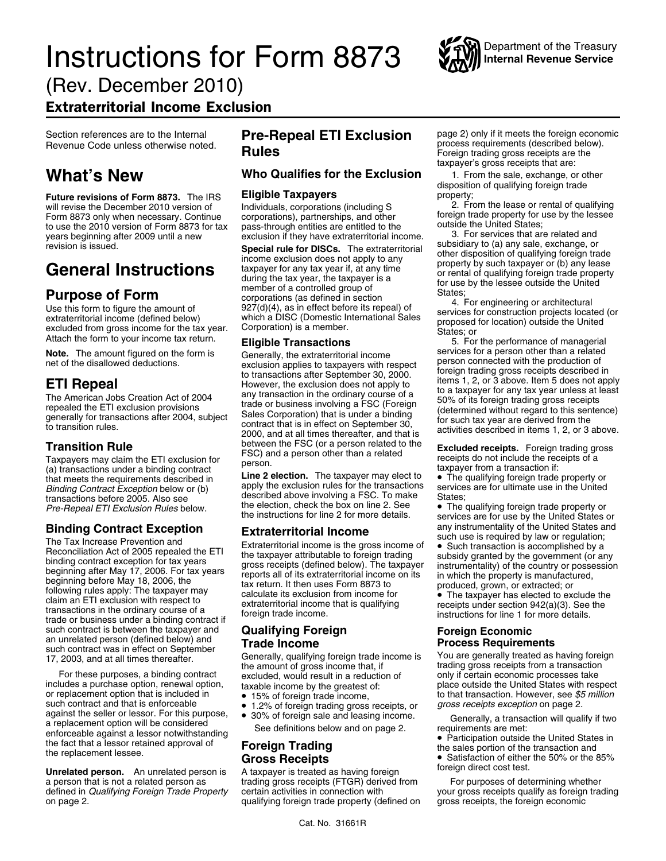# **Instructions for Form 8873** Will Internal Revenue Service

(Rev. December 2010)

### Extraterritorial Income Exclusion

**Future revisions of Form 8873.** The IRS **Eligible Taxpayers** property;<br>will revise the December 2010 version of propositionals corporations (including S and the lease or rental of qualifying will revise the December 2010 version of Individuals, corporations (including S<br>1. Form 8873 only when necessary. Continue corporations), partnerships, and other Form 8873 only when necessary. Continue corporations), partnerships, and other foreign trade property for use by the lessee<br>to use the 2010 version of Form 8873 for tax pass-through entities are entitled to the outside the to use the 2010 version of Form 8873 for tax pass-through entities are entitled to the outside the United States;<br>years beginning after 2009 until a new exclusion if they have extraterritorial income. 3. For services that years beginning after 2009 until a new exclusion if they have extraterritorial income. 3. For services that are related and<br>revision is issued. exchange, or<br>**Special rule for DISCs** The extraterritorial subsidiary to (a) a

be calculate its exclusion from income for<br>claim an ETI exclusion with respect to extraterritorial income that is qualifying receipts under section 942(a)(3). See the<br>transactions in the ordinary course of a foreign trade such contract is between the taxpayer and<br>an unrelated person (defined below) and<br>such contract was in effect on September<br>17, 2003, and at all times thereafter. Generally, qualifying foreign trade income is You are genera

For these purposes, a binding contract excluded, would result in a reduction of only if certain economic processes take<br>includes a purchase option, renewal option, taxable income by the greatest of: place outside the Unite or replacement option that is included in <br>such contract and that is enforceable<br>  $\bullet$  1.2% of foreign trading gross receipts, or gross receipts exception on page 2. such contract and that is enforceable against the seller or lessor. For this purpose, <br>a replacement option will be considered<br>enforceable against a lessor notwithstanding<br>the fact that a lessor retained approval of<br>the fact that a lessor retained approval of<br> enote and the squares defined States in the fact that a lessor retained approval of **Foreign Trading**<br>the fact that a lessor retained approval of **Foreign Trading Constant of the sales portion** of the transaction and<br>**Cr** 

**Unrelated person.** An unrelated person is A taxpayer is treated as having foreign stroreign direct cost test.<br>A person that is not a related person as trading gross receipts (FTGR) derived from For purposes of determining defined in *Qualifying Foreign Trade Property* on page 2. qualifying foreign trade property (defined on gross receipts, the foreign economic

## Rules<br>
Rules **Code under the unit of the unit of the unit of the unit of the process requirements (described below).**<br>
Foreign trading gross receipts are the

### **What's New Who Qualifies for the Exclusion** 1. From the sale, exchange, or other

Fevision is issued.<br> **General Instructions**<br> **General Instructions**<br> **Form**<br> **EXECUTE ALL ANDEL ANDEL ANDEL ANDEL ANDEL ANDEL ANDEL ANDEL ANDEL ANDEL ANDEL ANDEL ANDEL ANDEL AND THE SUBJECT CONDUCTED THE CONDUCTED THE COND** 

**Note.** The amount figured on the form is Generally, the extraterritorial income<br>
net of the disallowed deductions.<br> **ETI Repeal**<br> **ETI Repeal**<br> **ETI Repeal**<br> **ETI Repeal**<br> **ETI Repeal**<br> **ETI Repeal**<br> **ETI Repeal**<br> **ETI Re** 

The qualifying foreign trade property or<br>  $\frac{1}{2}$  Hotel and meets the requirements described in<br>  $\frac{1}{2}$  Hotel and Contract Exception below or (b) apply the exclusion rules for the transactions services are for ultima *Binding Contract Exception* below or (b) apply the exclusion rules for the transactions service<br>transactions before 2005. Also see described above involving a FSC. To make States; described above involving a FSC. To make the election, check the box on line 2. See

- 
- 1.2% of foreign trading gross receipts, or<br>● 30% of foreign sale and leasing income
- 

Section references are to the Internal **Pre-Repeal ETI Exclusion** page 2) only if it meets the foreign economic process requirements (described below). taxpayer's gross receipts that are:

disposition of qualifying foreign trade

**Transition Rule** between the FSC (or a person related to the **Excluded receipts.** Foreign trading gross<br>
Taxpayers may claim the ETI exclusion for FSC) and a person other than a related **Excluded receipts.** Foreign tradi

*Pre-Repeal ETI Exclusion Rules* below. The election, check the box on line 2. See **•** The qualifying foreign trade property or below. the instructions for line 2 for more details. services are for use by the United States **Binding Contract Exception**<br>
The Tax Increase Prevention and<br>
Reconciliation Act of 2005 repealed the ETI<br>
binding contract exception for tax years<br>
beginning after May 17, 2006. For tax years<br>
beginning sales and the tax

trading gross receipts (FTGR) derived from For purposes of determining whether<br>certain activities in connection with Form Form all your gross receipts qualify as foreign trading

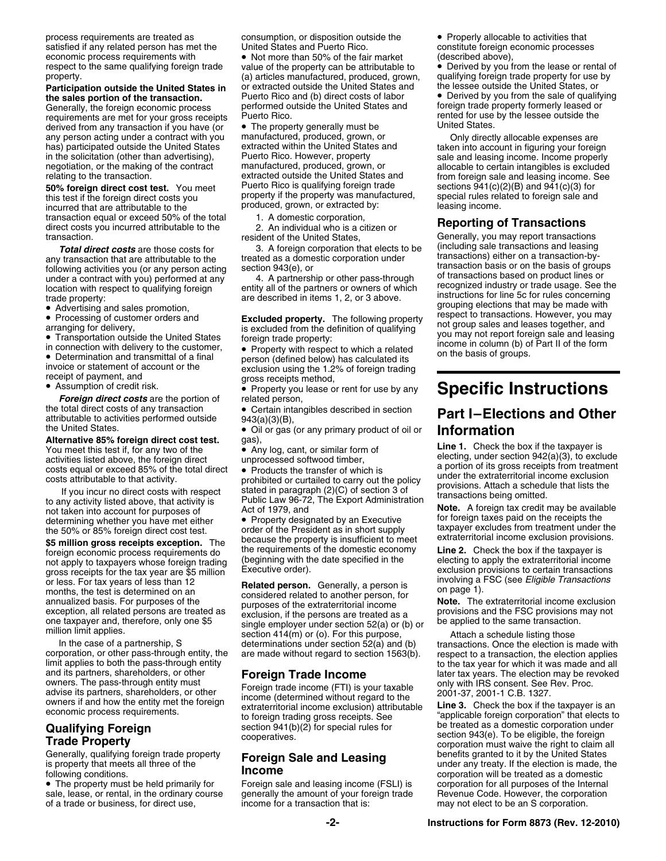process requirements are treated as consumption, or disposition outside the • Properly allocable to activities that<br>satisfied if any related person has met the United States and Puerto Rico. constitute foreign economic pro economic process requirements with • Not more than 50% of the fair market (described above),<br>
respect to the same qualifying foreign trade value of the property can be attributable to • Derived by you from the lease or ren

Generally, the foreign economic process experiormed outside the United States and foreign trade property formerly leased or<br>Fequirements are met for your gross receipts. Puerto Rico, requirements are met for your gross receipts Puerto Rico.<br>derived from any transaction if you have (or  $\bullet$  The property generally must be United States derived from any transaction if you have (or  $\bullet$  The property generally must be any person acting under a contract with you manufactured, produced, grown, or any person acting under a contract with you manufactured, produced, grown, or **Only directly allocable expenses are**<br>has) participated outside the United States extracted within the United States and taken into account in has) participated outside the United States extracted within the United States and taken into account in figuring your foreign<br>in the solicitation (other than advertising), Puerto Rico. However, property sale and leasing i in the solicitation (other than advertising), a puerto Rico. However, property sale and leasing income. Income properly negotiation, or the making of the contract manufactured, produced, grown, or allocable to certain inta negotiation, or the making of the contract manufactured, produced, grown, or allocable to certain intangibles is excluded<br>
extracted outside the United States and from foreign sale and leasing income. See

**50% foreign direct cost test.** You meet Puerto Rico is qualifying foreign trade this test if the foreign direct costs you property if the property was manufactured, incurred that are attributable to the **produced**, grown, or extracted by: transaction equal or exceed 50% of the total 1. A domestic corporation,<br>direct costs you incurred attributable to the 2. An individual who is a citizen or direct costs you incurred attributable to the **Reporting of Transactions**<br>
The costs you incurred attributable to the **Reporting of Transaction**<br>
resident of the United States. Generally, you may report transaction.

In connection with delivery to the customer,  $\bullet$  Property with respect to which a related in column (b) or Determination and transmittal of a final parcent (defined below) has column to on the basis of groups. in connection with delivery to the customer,  $\bullet$  Property with respect to which a related its <br>• Determination and transmittal of a final energy (defined below) has calculated its

 $\bullet$  Assumption of credit risk.  $\qquad \bullet$ 

the total direct costs of any transaction  $\bullet$  Certain intangibles described in section attributable to activities performed outside  $943(a)(3)(B)$ , the United States. •

**\$5 million gross receipts exception.** The because the property is insulficient to meet<br>foreign economic process requirements do the requirements of the domestic economy **Line 2.** Check the box if the taxpayer is<br>not apply gross receipts for the tax year are \$5 million Executive order).<br>or less. For tax years of less than 12 **Related person** Generally a person is involving a FSC (see *Eligible Transactions* 

corporation, or other pass-through entity, the<br>
limit applies to both the pass-through entity, the<br>
and its partners, shareholders, or other<br>
owners. The pass-through entity must<br>
divise its partners, shareholders, or othe

• The property must be held primarily for sale, lease, or rental, in the ordinary course generally the amount of your foreign trade Revenue Code. However, the corporation of a transaction that is:<br>of a trade or business, for direct use, income for a transaction th of a trade or business, for direct use, income for a transaction that is: may not elect to be an S corporation.

respect to the same qualifying foreign trade value of the property can be attributable to • Derived by you from the lease or rental c<br>
(a) articles manufactured, produced, grown, qualifying foreign trade property for use b (a) articles manufactured, produced, grown, qualifying foreign trade property for use or extracted outside the United States, or **Participation outside the United States in** or extracted outside the United States and the lessee outside the United States, or<br>the sales portion of the transaction. Puerto Rico and (b) direct costs of labor **•** Derived b **Puerto Rico and (b) direct costs of labor • Derived by you from the sale of qualify performed outside the United States and <sup>•</sup> Derived by you from the sale of qualify** 

invoice or statement of account or the  $\frac{1}{2}$  exclusion using the 1.2% of foreign trading receipt of payment, and  $\frac{1}{2}$  aross receipts method,

Property you lease or rent for use by any **Specific Instructions** *Foreign direct costs* are the portion of related person,

Oil or gas (or any primary product of oil or **Information**

or less. For tax years of less than 12<br>
months, the test is determined on an<br>
annualized basis. For purposes of the<br>
exception, all related persons are treated as<br>
exception, all related persons are treated as<br>
one taxpaye

COMOTHIC PROCESS requirements.<br> **Qualifying Foreign** section 941(b)(2) for special rules for be treated as a domestic corporation under<br> **Trade Brenerty** cooperatives.<br> **Trade Brenerty** cooperatives.

constitute foreign economic processes

extracted outside the United States and from foreign sale and leasing income. See<br>Puerto Rico is qualifying foreign trade sections 941(c)(2)(B) and 941(c)(3) for special rules related to foreign sale and<br>leasing income.

Generally, you may report transactions<br>(including sale transactions and leasing **Total direct costs** are those costs for the transaction that elects to be any transaction that are attributable to the transaction under following activities you (or any person acting section 943(e), or under a contract w Advertising and sales promotion,<br>
• Advertising and sales promotion,<br>
• Processing of customer orders and **Excluded property**. The following property respect to transactions. However, you may<br> **Excluded from the definition** arranging for delivery,<br>• Transportation outside the United States foreign trade property: volume and property ou may not report foreign sale and leasing<br>• Transportation outside the United States foreign trade property: v

## • Gertain intangibles described in section **Part I–Elections and Other** 943(a)(3)(B),

**Alternative 85% foreign direct cost test.** gas),<br>
You meet this test if, for any two of the expansion activities listed above, the foreign direct<br>
activities listed above, the foreign direct energy direct energy direct en

From the second for purposes of Act of 1979, and **Note.** A foreign tax credit may be available<br>determining whether you have met either **Consequence in the S0%** or 85% foreign direct cost test.<br>**Specify** the S0% or 85% fore

(beginning with the date specified in the decting to apply the extraterritorial income<br>Executive order).<br>Executive order).

**Trade Property**<br>Generally, qualifying foreign trade property<br>Generally, qualifying foreign trade property<br>**Eoreign Sale and Leasing** benefits granted to it by the United States Generally, qualifying foreign trade property **Foreign Sale and Leasing** benefits granted to it by the United States **Foreign Sale and Leasing** is property that meets all three of the under any treaty. If the election is ma following conditions.<br>• The property must be held primarily for **Foreign sale and leasing income (FSLI)** is corporation for all purposes of the Interna Foreign sale and leasing income (FSLI) is corporation for all purposes of the Internal generally the amount of your foreign trade Revenue Code. However, the corporation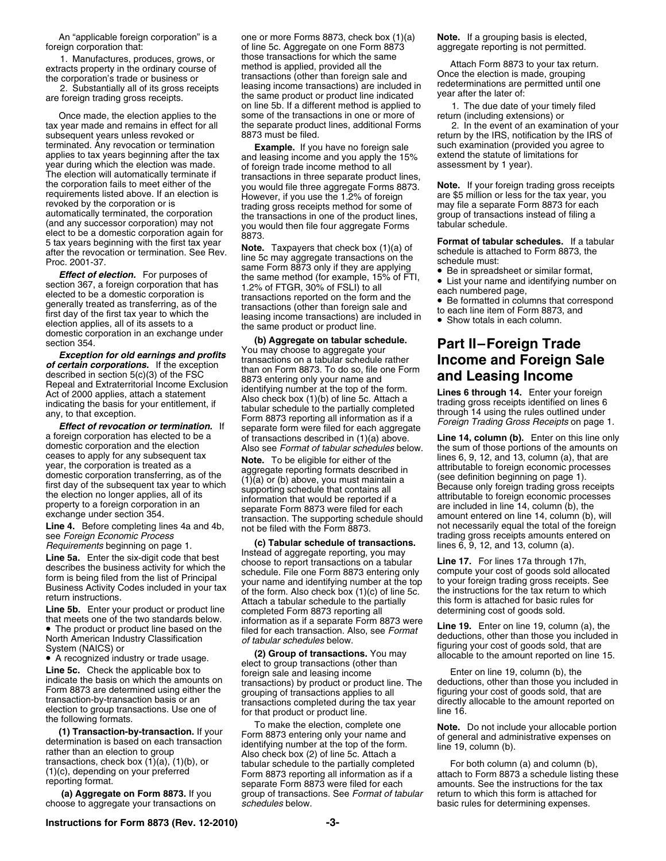foreign corporation that: of line 5c. Aggregate on one Form 8873

tax year made and remains in effect for all the separate product subsequent years unless revoked or an examination of an examination of an examine separate production of an examination of  $\frac{8873 \text{ must be filed}}{200000000000000000$ terminated. Any revocation or termination  $\epsilon$  and leasing income and you apply the 15% such examination (provided you agree to applies to tax years beginning after the tax and leasing income and you apply the 15% extend t (and any successor corporation) may not<br>elect to be a domestic corporation again for  $8873$ .<br>5 tax years beginning with the first tax year **Note** Taxpayers that chock hav (1)(a) of

List your name and identifying number or<br>
elected to be a domestic corporation is<br>
generally treated as transferring, as of the • transactions reported on the form and the<br>
transactions reported on the form and the<br>
transa generally treated as ransferring, as or the transactions (other than foreign sale and to each line item of Form 8873, and first day of the first tax year to which the leasing income transactions) are included in  $\bullet$  Show election applies, all of its assets to a<br>domestic corporation in an exchange under<br>section 354.<br>**Exception for old earnings and profits**<br>For exception and **Exception** for old earnings and profits<br>the same product or produc

• The product or product line based on the filed for each transaction. Also, see *Format* North American Industry Classification

An "applicable foreign corporation" is a one or more Forms 8873, check box (1)(a) **Note.** If a grouping basis is elected,<br>
of line 5c. Aggregate on one Form 8873 aggregate reporting is not permitted. 1. Manufactures, produces, grows, or those transactions for which the same extracts property in the ordinary course of method is applied, provided all the extracts property in the ordinary course of method is applied, provided all the and the corporation's trade or business or transactions (other than foreign sale and the corporation's trade or business or ansactions (other on line 5b. If a different method is applied to 1. The due date of your timely filed some of the transactions in one or more of return (including extensions) or Once made, the election applies to the some of the transactions in one or more of return (including extensions) or<br>year made and remains in effect for all the separate product lines, additional Forms 2. In the event of an

5 tax years beginning with the first tax year<br>after the revocation or termination. See Rev.<br>Proc. 2001-37.<br>Proc. 2001-37.<br>The Schedule must:<br>Same Form 8873 only if they are applying<br>The in spreadsheet or similar format be 2001-37.<br>**Effect of election.** For purposes of the same method (for example, 15% of FTI, be in spreadsheet or similar format,<br>tion 367, a foreign corporation that has 1.2% of FTGR, 30% of FSLI) to all and have noted par

See Foreign Economic Process<br>
Requirements beginning on page 1.<br> **Line 5a.** Enter the six-digit code that best<br>
describes the business activity for which the<br>
describes the business activity for which the<br>
describes the bu FRIGHT INSTIGUIONS.<br>
Line 5b. Enter your product or product line completed Form 8873 reporting all determining cost of goods sold.<br>
that meets one of the two standards below. information as if a separate Form 8873 were ... that meets one of the two standards below. information as if a separate Form 8873 were **Line 19.** Enter on line 19, column (a), the •<br>● The product or product line based on the • • filed for each transaction. Also, see *F* 

System (NAICS) or **(2) Group of transactions.** You may allocable to the amount reported on line 15.<br>• A recognized industry or trade usage. **(2) Group of transactions.** You may allocable to the amount reported on line 15. • A recognized industry or trade usage.<br>
Line 5c. Check the applicable box to<br>
indicate the basis on which the amounts on<br>
Form 8873 are determined using either the<br>
framsactions) by product or product line. The<br>
transacti

the following formats.<br> **(1) Transaction-by-transaction.** If your<br>
determination is based on each transaction<br>
rather than an election to group<br>
rather than an election to group<br>
rather than an election to group<br>
rather th  **(a) Aggregate on Form 8873.** If you group of transactions. See *Format of tabular* return to which this form is attached for choose to aggregate your transactions on *schedules* below. basic rules for determining expenses.

return by the IRS, notification by the IRS of

- 
- 
- 

**Exception of Developin States and Procedure and Foreign Sale<br>
devertian corporations. It the scoeption<br>
Hespacial and Extinct corporations and Extinct corporation is a section of the FSCC of the Foreign Act of 2000 applie** 

Note than those you included in of tabular schedules below.<br>
of tabular schedules below.<br> **of tabular schedules** below.